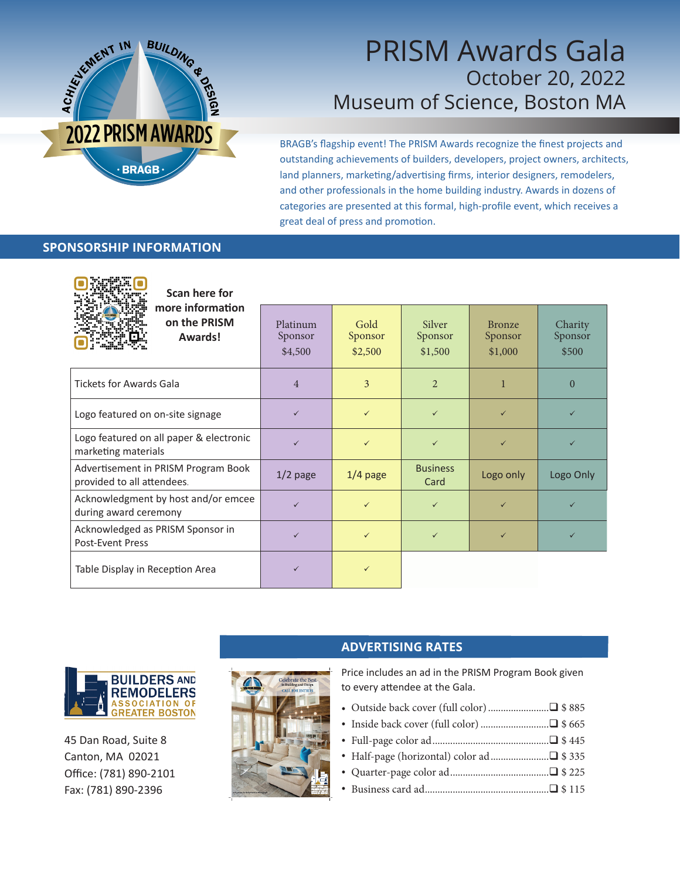

## PRISM Awards Gala October 20, 2022 Museum of Science, Boston MA

BRAGB's flagship event! The PRISM Awards recognize the finest projects and outstanding achievements of builders, developers, project owners, architects, land planners, marketing/advertising firms, interior designers, remodelers, and other professionals in the home building industry. Awards in dozens of categories are presented at this formal, high-profile event, which receives a great deal of press and promotion.

### **SPONSORSHIP INFORMATION**

**Axesa** 

| Scan here for                                                     |                                |                            |                              |                                     |                             |
|-------------------------------------------------------------------|--------------------------------|----------------------------|------------------------------|-------------------------------------|-----------------------------|
| more information<br>on the PRISM<br>Awards!                       | Platinum<br>Sponsor<br>\$4,500 | Gold<br>Sponsor<br>\$2,500 | Silver<br>Sponsor<br>\$1,500 | <b>Bronze</b><br>Sponsor<br>\$1,000 | Charity<br>Sponsor<br>\$500 |
| <b>Tickets for Awards Gala</b>                                    | $\overline{4}$                 | 3                          | $\mathcal{L}$                |                                     | $\Omega$                    |
| Logo featured on on-site signage                                  | $\checkmark$                   | $\checkmark$               | $\checkmark$                 | $\checkmark$                        | ✓                           |
| Logo featured on all paper & electronic<br>marketing materials    |                                | $\checkmark$               | ✓                            | $\checkmark$                        | ✓                           |
| Advertisement in PRISM Program Book<br>provided to all attendees. | $1/2$ page                     | $1/4$ page                 | <b>Business</b><br>Card      | Logo only                           | Logo Only                   |
| Acknowledgment by host and/or emcee<br>during award ceremony      |                                | ✓                          | ✓                            | ✓                                   |                             |
| Acknowledged as PRISM Sponsor in<br><b>Post-Event Press</b>       | $\checkmark$                   | $\checkmark$               | $\checkmark$                 | $\checkmark$                        | ✓                           |
| Table Display in Reception Area                                   |                                | ✓                          |                              |                                     |                             |



45 Dan Road, Suite 8 Canton, MA 02021 Office: (781) 890-2101 Fax: (781) 890-2396



### **ADVERTISING RATES**

Price includes an ad in the PRISM Program Book given to every attendee at the Gala.

- Outside back cover (full color)........................q \$ 885
- Inside back cover (full color)...........................q \$ 665
- Full-page color ad..............................................q \$ 445
- Half-page (horizontal) color ad.......................q \$ 335
- Quarter-page color ad.......................................q \$ 225
- Business card ad.................................................q \$ 115